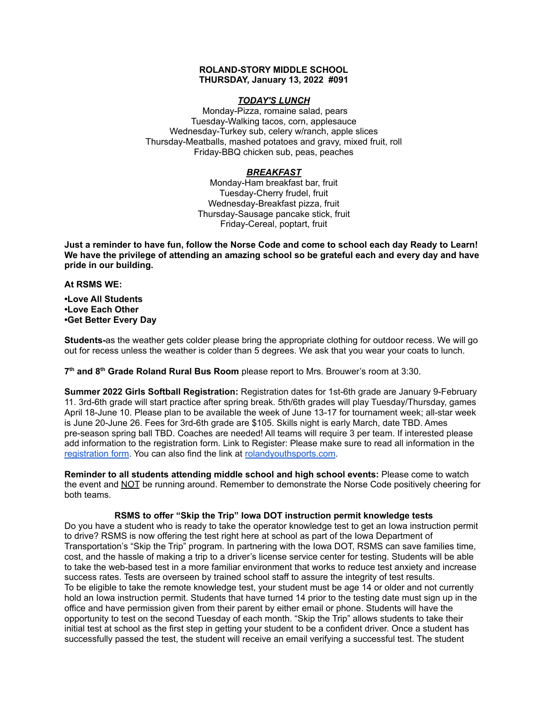## **ROLAND-STORY MIDDLE SCHOOL THURSDAY, January 13, 2022 #091**

# *TODAY'S LUNCH*

Monday-Pizza, romaine salad, pears Tuesday-Walking tacos, corn, applesauce Wednesday-Turkey sub, celery w/ranch, apple slices Thursday-Meatballs, mashed potatoes and gravy, mixed fruit, roll Friday-BBQ chicken sub, peas, peaches

# *BREAKFAST*

Monday-Ham breakfast bar, fruit Tuesday-Cherry frudel, fruit Wednesday-Breakfast pizza, fruit Thursday-Sausage pancake stick, fruit Friday-Cereal, poptart, fruit

Just a reminder to have fun, follow the Norse Code and come to school each day Ready to Learn! **We have the privilege of attending an amazing school so be grateful each and every day and have pride in our building.**

#### **At RSMS WE:**

**•Love All Students •Love Each Other •Get Better Every Day**

**Students-**as the weather gets colder please bring the appropriate clothing for outdoor recess. We will go out for recess unless the weather is colder than 5 degrees. We ask that you wear your coats to lunch.

**7 th and 8 th Grade Roland Rural Bus Room** please report to Mrs. Brouwer's room at 3:30.

**Summer 2022 Girls Softball Registration:** Registration dates for 1st-6th grade are January 9-February 11. 3rd-6th grade will start practice after spring break. 5th/6th grades will play Tuesday/Thursday, games April 18-June 10. Please plan to be available the week of June 13-17 for tournament week; all-star week is June 20-June 26. Fees for 3rd-6th grade are \$105. Skills night is early March, date TBD. Ames pre-season spring ball TBD. Coaches are needed! All teams will require 3 per team. If interested please add information to the registration form. Link to Register: Please make sure to read all information in th[e](https://rolandyouthsports.com/summer-2022-softball-registration-form/) [registration](https://rolandyouthsports.com/summer-2022-softball-registration-form/) form. You can also find the link at [rolandyouthsports.com](http://rolandyouthsports.com/).

**Reminder to all students attending middle school and high school events:** Please come to watch the event and NOT be running around. Remember to demonstrate the Norse Code positively cheering for both teams.

#### **RSMS to offer "Skip the Trip" Iowa DOT instruction permit knowledge tests**

Do you have a student who is ready to take the operator knowledge test to get an Iowa instruction permit to drive? RSMS is now offering the test right here at school as part of the Iowa Department of Transportation's "Skip the Trip" program. In partnering with the Iowa DOT, RSMS can save families time, cost, and the hassle of making a trip to a driver's license service center for testing. Students will be able to take the web-based test in a more familiar environment that works to reduce test anxiety and increase success rates. Tests are overseen by trained school staff to assure the integrity of test results. To be eligible to take the remote knowledge test, your student must be age 14 or older and not currently hold an Iowa instruction permit. Students that have turned 14 prior to the testing date must sign up in the office and have permission given from their parent by either email or phone. Students will have the opportunity to test on the second Tuesday of each month. "Skip the Trip" allows students to take their initial test at school as the first step in getting your student to be a confident driver. Once a student has successfully passed the test, the student will receive an email verifying a successful test. The student